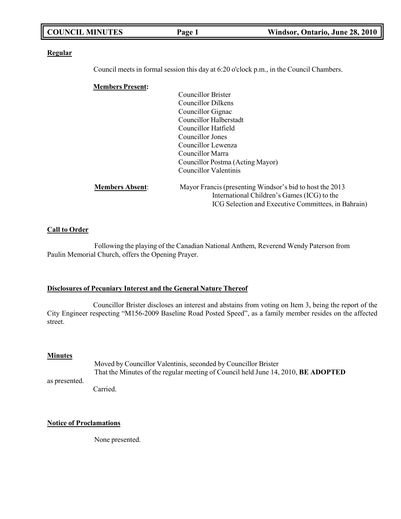| <b>COUNCIL MINUTES</b>  | Page 1                           | Windsor, Ontario, June 28, 2010                                                                         |
|-------------------------|----------------------------------|---------------------------------------------------------------------------------------------------------|
| <b>Regular</b>          |                                  |                                                                                                         |
|                         |                                  | Council meets in formal session this day at 6:20 o'clock p.m., in the Council Chambers.                 |
| <b>Members Present:</b> |                                  |                                                                                                         |
|                         | <b>Councillor Brister</b>        |                                                                                                         |
|                         | <b>Councillor Dilkens</b>        |                                                                                                         |
|                         | Councillor Gignac                |                                                                                                         |
|                         | <b>Councillor Halberstadt</b>    |                                                                                                         |
|                         | Councillor Hatfield              |                                                                                                         |
|                         | <b>Councillor Jones</b>          |                                                                                                         |
|                         | Councillor Lewenza               |                                                                                                         |
|                         | Councillor Marra                 |                                                                                                         |
|                         | Councillor Postma (Acting Mayor) |                                                                                                         |
|                         | <b>Councillor Valentinis</b>     |                                                                                                         |
| <b>Members Absent:</b>  |                                  | Mayor Francis (presenting Windsor's bid to host the 2013<br>International Children's Games (ICG) to the |
|                         |                                  | ICG Selection and Executive Committees, in Bahrain)                                                     |
|                         |                                  |                                                                                                         |
| <b>Call to Order</b>    |                                  |                                                                                                         |

╗

Following the playing of the Canadian National Anthem, Reverend Wendy Paterson from Paulin Memorial Church, offers the Opening Prayer.

## **Disclosures of Pecuniary Interest and the General Nature Thereof**

Councillor Brister discloses an interest and abstains from voting on Item 3, being the report of the City Engineer respecting "M156-2009 Baseline Road Posted Speed", as a family member resides on the affected street.

## **Minutes**

as presented. Moved by Councillor Valentinis, seconded by Councillor Brister That the Minutes of the regular meeting of Council held June 14, 2010, **BE ADOPTED**

Carried.

## **Notice of Proclamations**

None presented.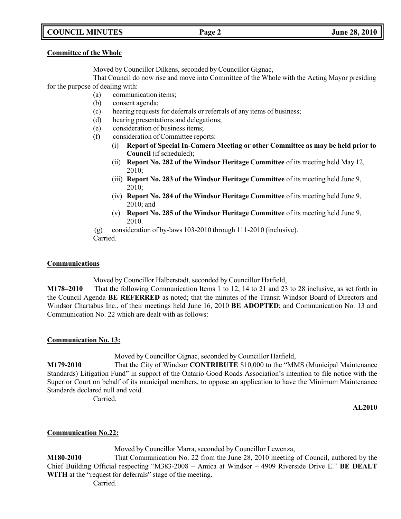# **COUNCIL MINUTES Page 2 June 28, 2010**

#### **Committee of the Whole**

Moved by Councillor Dilkens, seconded by Councillor Gignac,

That Council do now rise and move into Committee of the Whole with the Acting Mayor presiding for the purpose of dealing with:

- (a) communication items;
- (b) consent agenda;
- (c) hearing requests for deferrals or referrals of any items of business;
- (d) hearing presentations and delegations;
- (e) consideration of business items;
- (f) consideration of Committee reports:
	- (i) **Report of Special In-Camera Meeting or other Committee as may be held prior to Council** (if scheduled);
	- (ii) **Report No. 282 of the Windsor Heritage Committee** of its meeting held May 12, 2010;
	- (iii) **Report No. 283 of the Windsor Heritage Committee** of its meeting held June 9, 2010;
	- (iv) **Report No. 284 of the Windsor Heritage Committee** of its meeting held June 9, 2010; and
	- (v) **Report No. 285 of the Windsor Heritage Committee** of its meeting held June 9, 2010.
- (g) consideration of by-laws 103-2010 through 111-2010 (inclusive).

Carried.

### **Communications**

Moved by Councillor Halberstadt, seconded by Councillor Hatfield,

**M178–2010** That the following Communication Items 1 to 12, 14 to 21 and 23 to 28 inclusive, as set forth in the Council Agenda **BE REFERRED** as noted; that the minutes of the Transit Windsor Board of Directors and Windsor Chartabus Inc., of their meetings held June 16, 2010 **BE ADOPTED**; and Communication No. 13 and Communication No. 22 which are dealt with as follows:

### **Communication No. 13:**

## Moved by Councillor Gignac, seconded by Councillor Hatfield,

**M179-2010** That the City of Windsor **CONTRIBUTE** \$10,000 to the "MMS (Municipal Maintenance Standards) Litigation Fund" in support of the Ontario Good Roads Association's intention to file notice with the Superior Court on behalf of its municipal members, to oppose an application to have the Minimum Maintenance Standards declared null and void.

Carried.

**AL2010**

## **Communication No.22:**

Moved by Councillor Marra, seconded by Councillor Lewenza, **M180-2010** That Communication No. 22 from the June 28, 2010 meeting of Council, authored by the Chief Building Official respecting "M383-2008 – Amica at Windsor – 4909 Riverside Drive E." **BE DEALT WITH** at the "request for deferrals" stage of the meeting. Carried.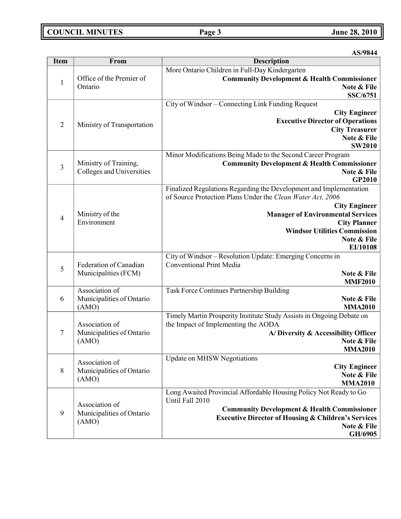# **COUNCIL MINUTES Page 3 June 28, 2010**

**AS/9844**

| <b>Item</b>    | From                                                 | <b>Description</b>                                                                                                                                                                                                                                                                            |
|----------------|------------------------------------------------------|-----------------------------------------------------------------------------------------------------------------------------------------------------------------------------------------------------------------------------------------------------------------------------------------------|
| $\mathbf{1}$   | Office of the Premier of<br>Ontario                  | More Ontario Children in Full-Day Kindergarten<br><b>Community Development &amp; Health Commissioner</b><br>Note & File<br><b>SSC/6751</b>                                                                                                                                                    |
| $\overline{2}$ | Ministry of Transportation                           | City of Windsor - Connecting Link Funding Request<br><b>City Engineer</b><br><b>Executive Director of Operations</b><br><b>City Treasurer</b><br>Note & File<br><b>SW2010</b>                                                                                                                 |
| $\overline{3}$ | Ministry of Training,<br>Colleges and Universities   | Minor Modifications Being Made to the Second Career Program<br><b>Community Development &amp; Health Commissioner</b><br>Note & File<br>GP2010                                                                                                                                                |
| $\overline{4}$ | Ministry of the<br>Environment                       | Finalized Regulations Regarding the Development and Implementation<br>of Source Protection Plans Under the Clean Water Act, 2006<br><b>City Engineer</b><br><b>Manager of Environmental Services</b><br><b>City Planner</b><br><b>Windsor Utilities Commission</b><br>Note & File<br>EI/10108 |
| 5              | Federation of Canadian<br>Municipalities (FCM)       | City of Windsor - Resolution Update: Emerging Concerns in<br><b>Conventional Print Media</b><br>Note & File<br><b>MMF2010</b>                                                                                                                                                                 |
| 6              | Association of<br>Municipalities of Ontario<br>(AMO) | Task Force Continues Partnership Building<br>Note & File<br><b>MMA2010</b>                                                                                                                                                                                                                    |
| $\tau$         | Association of<br>Municipalities of Ontario<br>(AMO) | Timely Martin Prosperity Institute Study Assists in Ongoing Debate on<br>the Impact of Implementing the AODA<br>A/Diversity & Accessibility Officer<br>Note & File<br><b>MMA2010</b>                                                                                                          |
| 8              | Association of<br>Municipalities of Ontario<br>(AMO) | <b>Update on MHSW Negotiations</b><br><b>City Engineer</b><br>Note & File<br><b>MMA2010</b>                                                                                                                                                                                                   |
| 9              | Association of<br>Municipalities of Ontario<br>(AMO) | Long Awaited Provincial Affordable Housing Policy Not Ready to Go<br>Until Fall 2010<br><b>Community Development &amp; Health Commissioner</b><br><b>Executive Director of Housing &amp; Children's Services</b><br>Note & File<br>GH/6905                                                    |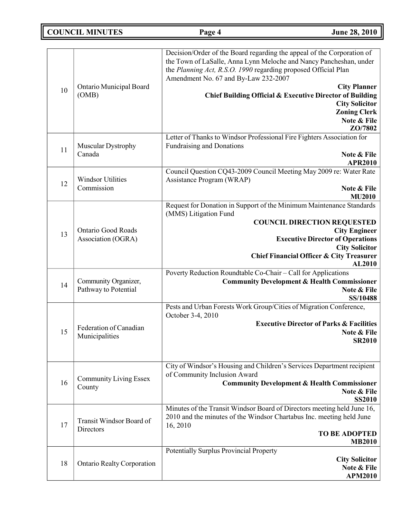**COUNCIL MINUTES Page 4 June 28, 2010**

| 10 | Ontario Municipal Board<br>(OMB)                | Decision/Order of the Board regarding the appeal of the Corporation of<br>the Town of LaSalle, Anna Lynn Meloche and Nancy Pancheshan, under<br>the Planning Act, R.S.O. 1990 regarding proposed Official Plan<br>Amendment No. 67 and By-Law 232-2007<br><b>City Planner</b><br>Chief Building Official & Executive Director of Building<br><b>City Solicitor</b><br><b>Zoning Clerk</b><br>Note & File<br>ZO/7802 |
|----|-------------------------------------------------|---------------------------------------------------------------------------------------------------------------------------------------------------------------------------------------------------------------------------------------------------------------------------------------------------------------------------------------------------------------------------------------------------------------------|
| 11 | <b>Muscular Dystrophy</b><br>Canada             | Letter of Thanks to Windsor Professional Fire Fighters Association for<br><b>Fundraising and Donations</b><br>Note & File<br><b>APR2010</b>                                                                                                                                                                                                                                                                         |
| 12 | <b>Windsor Utilities</b><br>Commission          | Council Question CQ43-2009 Council Meeting May 2009 re: Water Rate<br>Assistance Program (WRAP)<br>Note & File<br><b>MU2010</b>                                                                                                                                                                                                                                                                                     |
| 13 | <b>Ontario Good Roads</b><br>Association (OGRA) | Request for Donation in Support of the Minimum Maintenance Standards<br>(MMS) Litigation Fund<br><b>COUNCIL DIRECTION REQUESTED</b><br><b>City Engineer</b><br><b>Executive Director of Operations</b><br><b>City Solicitor</b><br><b>Chief Financial Officer &amp; City Treasurer</b><br>AL2010                                                                                                                    |
| 14 | Community Organizer,<br>Pathway to Potential    | Poverty Reduction Roundtable Co-Chair - Call for Applications<br><b>Community Development &amp; Health Commissioner</b><br>Note & File<br>SS/10488                                                                                                                                                                                                                                                                  |
| 15 | Federation of Canadian<br>Municipalities        | Pests and Urban Forests Work Group/Cities of Migration Conference,<br>October 3-4, 2010<br><b>Executive Director of Parks &amp; Facilities</b><br>Note & File<br><b>SR2010</b>                                                                                                                                                                                                                                      |
| 16 | <b>Community Living Essex</b><br>County         | City of Windsor's Housing and Children's Services Department recipient<br>of Community Inclusion Award<br><b>Community Development &amp; Health Commissioner</b><br>Note & File<br><b>SS2010</b>                                                                                                                                                                                                                    |
| 17 | Transit Windsor Board of<br>Directors           | Minutes of the Transit Windsor Board of Directors meeting held June 16,<br>2010 and the minutes of the Windsor Chartabus Inc. meeting held June<br>16, 2010<br><b>TO BE ADOPTED</b><br><b>MB2010</b>                                                                                                                                                                                                                |
| 18 | <b>Ontario Realty Corporation</b>               | Potentially Surplus Provincial Property<br><b>City Solicitor</b><br>Note & File<br><b>APM2010</b>                                                                                                                                                                                                                                                                                                                   |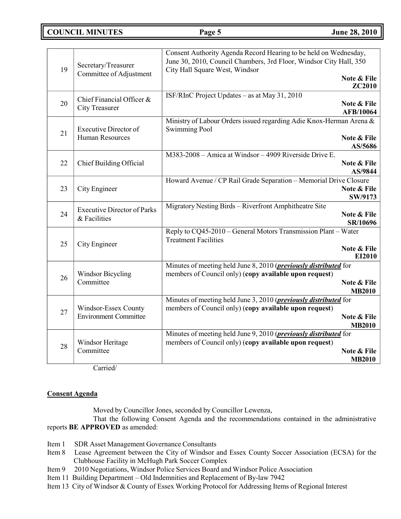# **COUNCIL MINUTES Page 5 June 28, 2010**

| 19 | Secretary/Treasurer<br>Committee of Adjustment         | Consent Authority Agenda Record Hearing to be held on Wednesday,<br>June 30, 2010, Council Chambers, 3rd Floor, Windsor City Hall, 350<br>City Hall Square West, Windsor | Note & File                     |
|----|--------------------------------------------------------|--------------------------------------------------------------------------------------------------------------------------------------------------------------------------|---------------------------------|
|    |                                                        |                                                                                                                                                                          | <b>ZC2010</b>                   |
| 20 | Chief Financial Officer &<br><b>City Treasurer</b>     | ISF/RInC Project Updates – as at May 31, 2010                                                                                                                            | Note & File<br><b>AFB/10064</b> |
| 21 | <b>Executive Director of</b><br><b>Human Resources</b> | Ministry of Labour Orders issued regarding Adie Knox-Herman Arena &<br><b>Swimming Pool</b>                                                                              | Note & File                     |
|    |                                                        | M383-2008 - Amica at Windsor - 4909 Riverside Drive E.                                                                                                                   | AS/5686                         |
| 22 | Chief Building Official                                |                                                                                                                                                                          | Note & File<br>AS/9844          |
| 23 | City Engineer                                          | Howard Avenue / CP Rail Grade Separation - Memorial Drive Closure                                                                                                        | Note & File<br>SW/9173          |
| 24 | <b>Executive Director of Parks</b><br>& Facilities     | Migratory Nesting Birds - Riverfront Amphitheatre Site                                                                                                                   | Note & File<br>SR/10696         |
| 25 | City Engineer                                          | Reply to CQ45-2010 - General Motors Transmission Plant - Water<br><b>Treatment Facilities</b>                                                                            | Note & File<br>EI2010           |
| 26 | <b>Windsor Bicycling</b><br>Committee                  | Minutes of meeting held June 8, 2010 ( <i>previously distributed</i> for<br>members of Council only) (copy available upon request)                                       | Note & File<br><b>MB2010</b>    |
| 27 | Windsor-Essex County<br><b>Environment Committee</b>   | Minutes of meeting held June 3, 2010 ( <i>previously distributed</i> for<br>members of Council only) (copy available upon request)                                       | Note & File<br><b>MB2010</b>    |
| 28 | Windsor Heritage<br>Committee                          | Minutes of meeting held June 9, 2010 ( <i>previously distributed</i> for<br>members of Council only) (copy available upon request)                                       | Note & File<br><b>MB2010</b>    |

Carried/

## **Consent Agenda**

Moved by Councillor Jones, seconded by Councillor Lewenza,

That the following Consent Agenda and the recommendations contained in the administrative reports **BE APPROVED** as amended:

- Item 1 SDR Asset Management Governance Consultants
- Item 8 Lease Agreement between the City of Windsor and Essex County Soccer Association (ECSA) for the Clubhouse Facility in McHugh Park Soccer Complex
- Item 9 2010 Negotiations, Windsor Police Services Board and Windsor Police Association
- Item 11 Building Department Old Indemnities and Replacement of By-law 7942
- Item 13 City of Windsor & County of Essex Working Protocol for Addressing Items of Regional Interest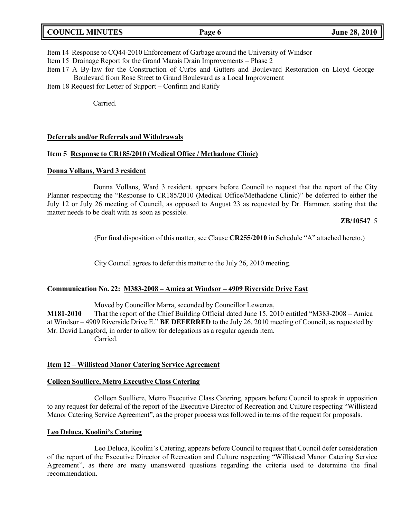|  | <b>COUNCIL MINUTES</b> |
|--|------------------------|
|--|------------------------|

Item 14 Response to CQ44-2010 Enforcement of Garbage around the University of Windsor

Item 15 Drainage Report for the Grand Marais Drain Improvements – Phase 2

Item 17 A By-law for the Construction of Curbs and Gutters and Boulevard Restoration on Lloyd George Boulevard from Rose Street to Grand Boulevard as a Local Improvement

Item 18 Request for Letter of Support – Confirm and Ratify

Carried.

#### **Deferrals and/or Referrals and Withdrawals**

#### **Item 5 Response to CR185/2010 (Medical Office / Methadone Clinic)**

#### **Donna Vollans, Ward 3 resident**

Donna Vollans, Ward 3 resident, appears before Council to request that the report of the City Planner respecting the "Response to CR185/2010 (Medical Office/Methadone Clinic)" be deferred to either the July 12 or July 26 meeting of Council, as opposed to August 23 as requested by Dr. Hammer, stating that the matter needs to be dealt with as soon as possible.

#### **ZB/10547** 5

(For final disposition of this matter, see Clause **CR255/2010** in Schedule "A" attached hereto.)

City Council agrees to defer this matter to the July 26, 2010 meeting.

### **Communication No. 22: M383-2008 – Amica at Windsor – 4909 Riverside Drive East**

Moved by Councillor Marra, seconded by Councillor Lewenza,

**M181-2010** That the report of the Chief Building Official dated June 15, 2010 entitled "M383-2008 – Amica at Windsor – 4909 Riverside Drive E." **BE DEFERRED** to the July 26, 2010 meeting of Council, as requested by Mr. David Langford, in order to allow for delegations as a regular agenda item. Carried.

### **Item 12 – Willistead Manor Catering Service Agreement**

#### **Colleen Soulliere, Metro Executive Class Catering**

Colleen Soulliere, Metro Executive Class Catering, appears before Council to speak in opposition to any request for deferral of the report of the Executive Director of Recreation and Culture respecting "Willistead Manor Catering Service Agreement", as the proper process was followed in terms of the request for proposals.

## **Leo Deluca, Koolini's Catering**

Leo Deluca, Koolini's Catering, appears before Council to request that Council defer consideration of the report of the Executive Director of Recreation and Culture respecting "Willistead Manor Catering Service Agreement", as there are many unanswered questions regarding the criteria used to determine the final recommendation.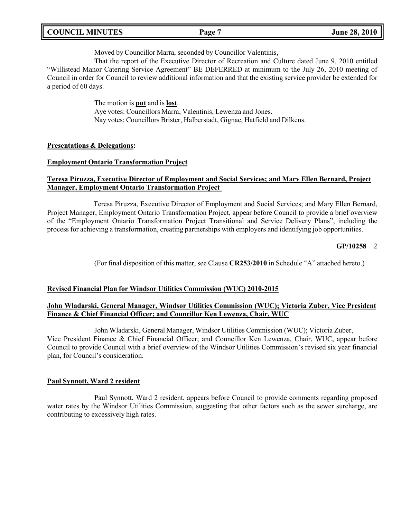Moved by Councillor Marra, seconded by Councillor Valentinis,

That the report of the Executive Director of Recreation and Culture dated June 9, 2010 entitled "Willistead Manor Catering Service Agreement" BE DEFERRED at minimum to the July 26, 2010 meeting of Council in order for Council to review additional information and that the existing service provider be extended for a period of 60 days.

> The motion is **put** and is **lost**. Aye votes: Councillors Marra, Valentinis, Lewenza and Jones. Nay votes: Councillors Brister, Halberstadt, Gignac, Hatfield and Dilkens.

### **Presentations & Delegations:**

#### **Employment Ontario Transformation Project**

## **Teresa Piruzza, Executive Director of Employment and Social Services; and Mary Ellen Bernard, Project Manager, Employment Ontario Transformation Project**

Teresa Piruzza, Executive Director of Employment and Social Services; and Mary Ellen Bernard, Project Manager, Employment Ontario Transformation Project, appear before Council to provide a brief overview of the "Employment Ontario Transformation Project Transitional and Service Delivery Plans", including the process for achieving a transformation, creating partnerships with employers and identifying job opportunities.

### **GP/10258** 2

(For final disposition of this matter, see Clause **CR253/2010** in Schedule "A" attached hereto.)

### **Revised Financial Plan for Windsor Utilities Commission (WUC) 2010-2015**

### **John Wladarski, General Manager, Windsor Utilities Commission (WUC); Victoria Zuber, Vice President Finance & Chief Financial Officer; and Councillor Ken Lewenza, Chair, WUC**

John Wladarski, General Manager, Windsor Utilities Commission (WUC); Victoria Zuber, Vice President Finance & Chief Financial Officer; and Councillor Ken Lewenza, Chair, WUC, appear before Council to provide Council with a brief overview of the Windsor Utilities Commission's revised six year financial plan, for Council's consideration.

### **Paul Synnott, Ward 2 resident**

Paul Synnott, Ward 2 resident, appears before Council to provide comments regarding proposed water rates by the Windsor Utilities Commission, suggesting that other factors such as the sewer surcharge, are contributing to excessively high rates.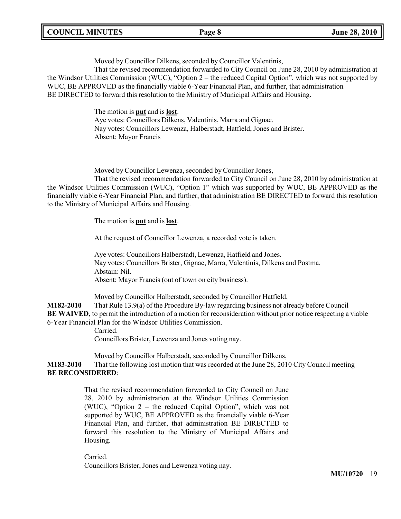|  | <b>COUNCIL MINUTES</b> |
|--|------------------------|
|--|------------------------|

Moved by Councillor Dilkens, seconded by Councillor Valentinis,

That the revised recommendation forwarded to City Council on June 28, 2010 by administration at the Windsor Utilities Commission (WUC), "Option 2 – the reduced Capital Option", which was not supported by WUC, BE APPROVED as the financially viable 6-Year Financial Plan, and further, that administration BE DIRECTED to forward this resolution to the Ministry of Municipal Affairs and Housing.

> The motion is **put** and is **lost**. Aye votes: Councillors Dilkens, Valentinis, Marra and Gignac. Nay votes: Councillors Lewenza, Halberstadt, Hatfield, Jones and Brister. Absent: Mayor Francis

Moved by Councillor Lewenza, seconded by Councillor Jones,

That the revised recommendation forwarded to City Council on June 28, 2010 by administration at the Windsor Utilities Commission (WUC), "Option 1" which was supported by WUC, BE APPROVED as the financially viable 6-Year Financial Plan, and further, that administration BE DIRECTED to forward this resolution to the Ministry of Municipal Affairs and Housing.

The motion is **put** and is **lost**.

At the request of Councillor Lewenza, a recorded vote is taken.

Aye votes: Councillors Halberstadt, Lewenza, Hatfield and Jones. Nay votes: Councillors Brister, Gignac, Marra, Valentinis, Dilkens and Postma. Abstain: Nil. Absent: Mayor Francis (out of town on city business).

Moved by Councillor Halberstadt, seconded by Councillor Hatfield,

**M182-2010** That Rule 13.9(a) of the Procedure By-law regarding business not already before Council **BE WAIVED**, to permit the introduction of a motion for reconsideration without prior notice respecting a viable 6-Year Financial Plan for the Windsor Utilities Commission.

Carried.

Councillors Brister, Lewenza and Jones voting nay.

Moved by Councillor Halberstadt, seconded by Councillor Dilkens,

**M183-2010** That the following lost motion that was recorded at the June 28, 2010 City Council meeting **BE RECONSIDERED**:

> That the revised recommendation forwarded to City Council on June 28, 2010 by administration at the Windsor Utilities Commission (WUC), "Option 2 – the reduced Capital Option", which was not supported by WUC, BE APPROVED as the financially viable 6-Year Financial Plan, and further, that administration BE DIRECTED to forward this resolution to the Ministry of Municipal Affairs and Housing.

Carried. Councillors Brister, Jones and Lewenza voting nay.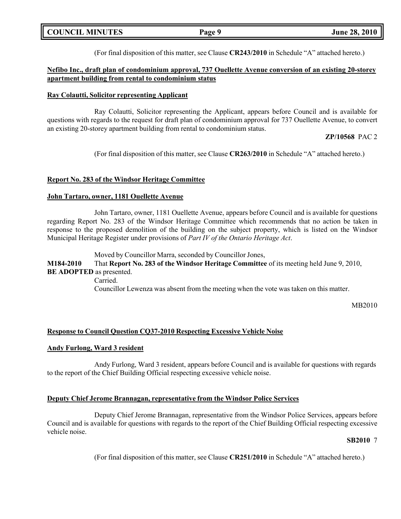| <b>COUNCIL MINUTES</b> | Page 9 | <b>June 28, 2010</b> |
|------------------------|--------|----------------------|
|                        |        |                      |

(For final disposition of this matter, see Clause **CR243/2010** in Schedule "A" attached hereto.)

### **Nefibo Inc., draft plan of condominium approval, 737 Ouellette Avenue conversion of an existing 20-storey apartment building from rental to condominium status**

#### **Ray Colautti, Solicitor representing Applicant**

Ray Colautti, Solicitor representing the Applicant, appears before Council and is available for questions with regards to the request for draft plan of condominium approval for 737 Ouellette Avenue, to convert an existing 20-storey apartment building from rental to condominium status.

#### **ZP/10568** PAC 2

(For final disposition of this matter, see Clause **CR263/2010** in Schedule "A" attached hereto.)

#### **Report No. 283 of the Windsor Heritage Committee**

#### **John Tartaro, owner, 1181 Ouellette Avenue**

John Tartaro, owner, 1181 Ouellette Avenue, appears before Council and is available for questions regarding Report No. 283 of the Windsor Heritage Committee which recommends that no action be taken in response to the proposed demolition of the building on the subject property, which is listed on the Windsor Municipal Heritage Register under provisions of *Part IV of the Ontario Heritage Act*.

Moved by Councillor Marra, seconded by Councillor Jones,

## **M184-2010** That **Report No. 283 of the Windsor Heritage Committee** of its meeting held June 9, 2010, **BE ADOPTED** as presented.

Carried. Councillor Lewenza was absent from the meeting when the vote was taken on this matter.

MB2010

### **Response to Council Question CQ37-2010 Respecting Excessive Vehicle Noise**

### **Andy Furlong, Ward 3 resident**

Andy Furlong, Ward 3 resident, appears before Council and is available for questions with regards to the report of the Chief Building Official respecting excessive vehicle noise.

### **Deputy Chief Jerome Brannagan, representative from the Windsor Police Services**

Deputy Chief Jerome Brannagan, representative from the Windsor Police Services, appears before Council and is available for questions with regards to the report of the Chief Building Official respecting excessive vehicle noise.

#### **SB2010** 7

(For final disposition of this matter, see Clause **CR251/2010** in Schedule "A" attached hereto.)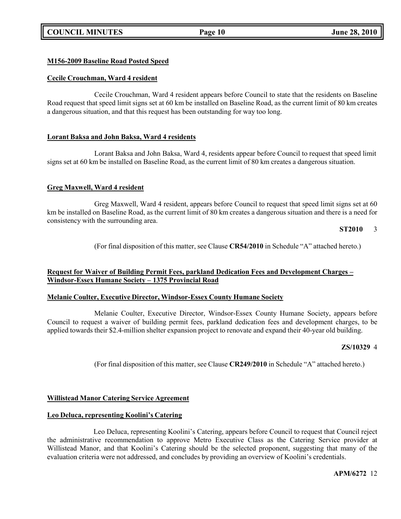# **COUNCIL MINUTES Page 10 June 28, 2010**

## **M156-2009 Baseline Road Posted Speed**

#### **Cecile Crouchman, Ward 4 resident**

Cecile Crouchman, Ward 4 resident appears before Council to state that the residents on Baseline Road request that speed limit signs set at 60 km be installed on Baseline Road, as the current limit of 80 km creates a dangerous situation, and that this request has been outstanding for way too long.

### **Lorant Baksa and John Baksa, Ward 4 residents**

Lorant Baksa and John Baksa, Ward 4, residents appear before Council to request that speed limit signs set at 60 km be installed on Baseline Road, as the current limit of 80 km creates a dangerous situation.

### **Greg Maxwell, Ward 4 resident**

Greg Maxwell, Ward 4 resident, appears before Council to request that speed limit signs set at 60 km be installed on Baseline Road, as the current limit of 80 km creates a dangerous situation and there is a need for consistency with the surrounding area.

**ST2010** 3

(For final disposition of this matter, see Clause **CR54/2010** in Schedule "A" attached hereto.)

### **Request for Waiver of Building Permit Fees, parkland Dedication Fees and Development Charges – Windsor-Essex Humane Society – 1375 Provincial Road**

#### **Melanie Coulter, Executive Director, Windsor-Essex County Humane Society**

Melanie Coulter, Executive Director, Windsor-Essex County Humane Society, appears before Council to request a waiver of building permit fees, parkland dedication fees and development charges, to be applied towards their \$2.4-million shelter expansion project to renovate and expand their 40-year old building.

#### **ZS/10329** 4

(For final disposition of this matter, see Clause **CR249/2010** in Schedule "A" attached hereto.)

### **Willistead Manor Catering Service Agreement**

#### **Leo Deluca, representing Koolini's Catering**

Leo Deluca, representing Koolini's Catering, appears before Council to request that Council reject the administrative recommendation to approve Metro Executive Class as the Catering Service provider at Willistead Manor, and that Koolini's Catering should be the selected proponent, suggesting that many of the evaluation criteria were not addressed, and concludes by providing an overview of Koolini's credentials.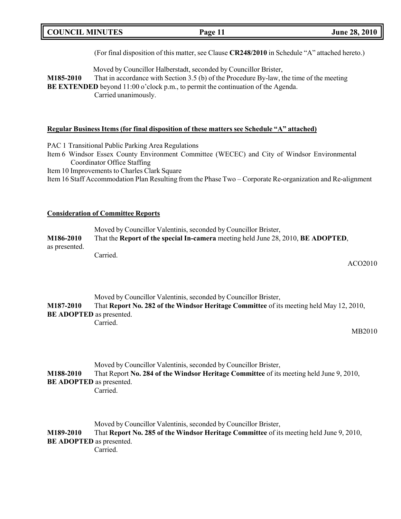|  | <b>COUNCIL MINUTES</b> |
|--|------------------------|
|--|------------------------|

(For final disposition of this matter, see Clause **CR248/2010** in Schedule "A" attached hereto.)

Moved by Councillor Halberstadt, seconded by Councillor Brister,

**M185-2010** That in accordance with Section 3.5 (b) of the Procedure By-law, the time of the meeting **BE EXTENDED** beyond 11:00 o'clock p.m., to permit the continuation of the Agenda. Carried unanimously.

#### **Regular Business Items (for final disposition of these matters see Schedule "A" attached)**

PAC 1 Transitional Public Parking Area Regulations

Item 6 Windsor Essex County Environment Committee (WECEC) and City of Windsor Environmental Coordinator Office Staffing

Item 10 Improvements to Charles Clark Square

Item 16 Staff Accommodation Plan Resulting from the Phase Two – Corporate Re-organization and Re-alignment

#### **Consideration of Committee Reports**

Moved by Councillor Valentinis, seconded by Councillor Brister, **M186-2010** That the **Report of the special In-camera** meeting held June 28, 2010, **BE ADOPTED**, as presented. Carried.

ACO2010

Moved by Councillor Valentinis, seconded by Councillor Brister, **M187-2010** That **Report No. 282 of the Windsor Heritage Committee** of its meeting held May 12, 2010, **BE ADOPTED** as presented. Carried.

#### MB2010

Moved by Councillor Valentinis, seconded by Councillor Brister, **M188-2010** That Report **No. 284 of the Windsor Heritage Committee** of its meeting held June 9, 2010, **BE ADOPTED** as presented. Carried.

Moved by Councillor Valentinis, seconded by Councillor Brister, **M189-2010** That **Report No. 285 of the Windsor Heritage Committee** of its meeting held June 9, 2010, **BE ADOPTED** as presented. Carried.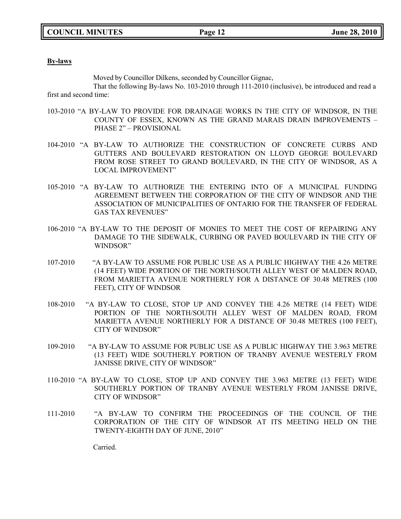#### **By-laws**

Moved by Councillor Dilkens, seconded by Councillor Gignac,

That the following By-laws No. 103-2010 through 111-2010 (inclusive), be introduced and read a first and second time:

- 103-2010 "A BY-LAW TO PROVIDE FOR DRAINAGE WORKS IN THE CITY OF WINDSOR, IN THE COUNTY OF ESSEX, KNOWN AS THE GRAND MARAIS DRAIN IMPROVEMENTS – PHASE 2" – PROVISIONAL
- 104-2010 "A BY-LAW TO AUTHORIZE THE CONSTRUCTION OF CONCRETE CURBS AND GUTTERS AND BOULEVARD RESTORATION ON LLOYD GEORGE BOULEVARD FROM ROSE STREET TO GRAND BOULEVARD, IN THE CITY OF WINDSOR, AS A LOCAL IMPROVEMENT"
- 105-2010 "A BY-LAW TO AUTHORIZE THE ENTERING INTO OF A MUNICIPAL FUNDING AGREEMENT BETWEEN THE CORPORATION OF THE CITY OF WINDSOR AND THE ASSOCIATION OF MUNICIPALITIES OF ONTARIO FOR THE TRANSFER OF FEDERAL GAS TAX REVENUES"
- 106-2010 "A BY-LAW TO THE DEPOSIT OF MONIES TO MEET THE COST OF REPAIRING ANY DAMAGE TO THE SIDEWALK, CURBING OR PAVED BOULEVARD IN THE CITY OF WINDSOR"
- 107-2010 "A BY-LAW TO ASSUME FOR PUBLIC USE AS A PUBLIC HIGHWAY THE 4.26 METRE (14 FEET) WIDE PORTION OF THE NORTH/SOUTH ALLEY WEST OF MALDEN ROAD, FROM MARIETTA AVENUE NORTHERLY FOR A DISTANCE OF 30.48 METRES (100 FEET), CITY OF WINDSOR
- 108-2010 "A BY-LAW TO CLOSE, STOP UP AND CONVEY THE 4.26 METRE (14 FEET) WIDE PORTION OF THE NORTH/SOUTH ALLEY WEST OF MALDEN ROAD, FROM MARIETTA AVENUE NORTHERLY FOR A DISTANCE OF 30.48 METRES (100 FEET), CITY OF WINDSOR"
- 109-2010 "A BY-LAW TO ASSUME FOR PUBLIC USE AS A PUBLIC HIGHWAY THE 3.963 METRE (13 FEET) WIDE SOUTHERLY PORTION OF TRANBY AVENUE WESTERLY FROM JANISSE DRIVE, CITY OF WINDSOR"
- 110-2010 "A BY-LAW TO CLOSE, STOP UP AND CONVEY THE 3.963 METRE (13 FEET) WIDE SOUTHERLY PORTION OF TRANBY AVENUE WESTERLY FROM JANISSE DRIVE, CITY OF WINDSOR"
- 111-2010 "A BY-LAW TO CONFIRM THE PROCEEDINGS OF THE COUNCIL OF THE CORPORATION OF THE CITY OF WINDSOR AT ITS MEETING HELD ON THE TWENTY-EIGHTH DAY OF JUNE, 2010"

Carried.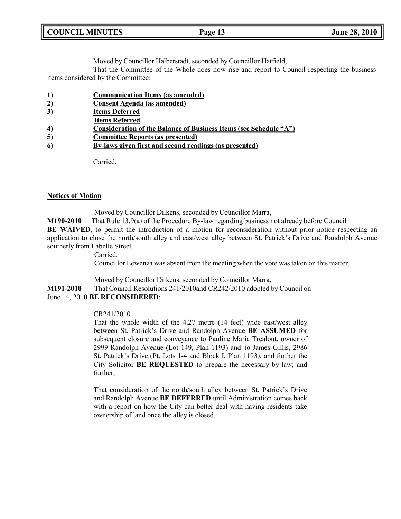Moved by Councillor Halberstadt, seconded by Councillor Hatfield,

That the Committee of the Whole does now rise and report to Council respecting the business items considered by the Committee:

- **1) Communication Items (as amended)**
- **2) Consent Agenda (as amended)**
- **3) Items Deferred**
- **Items Referred**
- **4) Consideration of the Balance of Business Items (see Schedule "A")**
- **5) Committee Reports (as presented)**
- **6) By-laws given first and second readings (as presented)**

Carried.

#### **Notices of Motion**

Moved by Councillor Dilkens, seconded by Councillor Marra,

**M190-2010** That Rule 13.9(a) of the Procedure By-law regarding business not already before Council **BE WAIVED**, to permit the introduction of a motion for reconsideration without prior notice respecting an application to close the north/south alley and east/west alley between St. Patrick's Drive and Randolph Avenue southerly from Labelle Street.

Carried.

Councillor Lewenza was absent from the meeting when the vote was taken on this matter.

Moved by Councillor Dilkens, seconded by Councillor Marra,

#### **M191-2010** That Council Resolutions 241/2010and CR242/2010 adopted by Council on June 14, 2010 **BE RECONSIDERED**:

#### CR241/2010

That the whole width of the 4.27 metre (14 feet) wide east/west alley between St. Patrick's Drive and Randolph Avenue **BE ASSUMED** for subsequent closure and conveyance to Pauline Maria Trealout, owner of 2999 Randolph Avenue (Lot 149, Plan 1193) and to James Gillis, 2986 St. Patrick's Drive (Pt. Lots 1-4 and Block I, Plan 1193), and further the City Solicitor **BE REQUESTED** to prepare the necessary by-law; and further,

That consideration of the north/south alley between St. Patrick's Drive and Randolph Avenue **BE DEFERRED** until Administration comes back with a report on how the City can better deal with having residents take ownership of land once the alley is closed.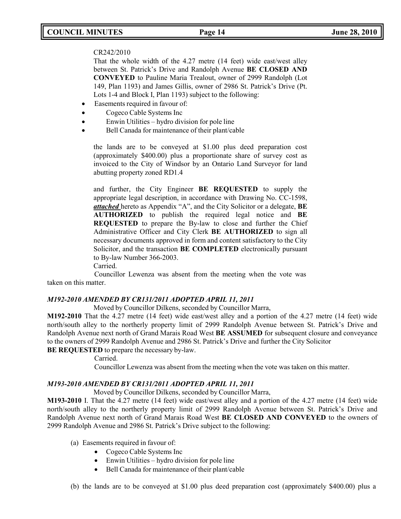# **COUNCIL MINUTES Page 14 June 28, 2010**

### CR242/2010

That the whole width of the 4.27 metre (14 feet) wide east/west alley between St. Patrick's Drive and Randolph Avenue **BE CLOSED AND CONVEYED** to Pauline Maria Trealout, owner of 2999 Randolph (Lot 149, Plan 1193) and James Gillis, owner of 2986 St. Patrick's Drive (Pt. Lots 1-4 and Block I, Plan 1193) subject to the following:

- Easements required in favour of:
- Cogeco Cable Systems Inc
- Enwin Utilities hydro division for pole line
- Bell Canada for maintenance of their plant/cable

the lands are to be conveyed at \$1.00 plus deed preparation cost (approximately \$400.00) plus a proportionate share of survey cost as invoiced to the City of Windsor by an Ontario Land Surveyor for land abutting property zoned RD1.4

and further, the City Engineer **BE REQUESTED** to supply the appropriate legal description, in accordance with Drawing No. CC-1598, *attached* hereto as Appendix "A", and the City Solicitor or a delegate, **BE AUTHORIZED** to publish the required legal notice and **BE REQUESTED** to prepare the By-law to close and further the Chief Administrative Officer and City Clerk **BE AUTHORIZED** to sign all necessary documents approved in form and content satisfactory to the City Solicitor, and the transaction **BE COMPLETED** electronically pursuant to By-law Number 366-2003.

Carried.

Councillor Lewenza was absent from the meeting when the vote was taken on this matter.

### *M192-2010 AMENDED BY CR131/2011 ADOPTED APRIL 11, 2011*

Moved by Councillor Dilkens, seconded by Councillor Marra,

**M192-2010** That the 4.27 metre (14 feet) wide east/west alley and a portion of the 4.27 metre (14 feet) wide north/south alley to the northerly property limit of 2999 Randolph Avenue between St. Patrick's Drive and Randolph Avenue next north of Grand Marais Road West **BE ASSUMED** for subsequent closure and conveyance to the owners of 2999 Randolph Avenue and 2986 St. Patrick's Drive and further the City Solicitor

**BE REQUESTED** to prepare the necessary by-law.

Carried.

Councillor Lewenza was absent from the meeting when the vote was taken on this matter.

### *M193-2010 AMENDED BY CR131/2011 ADOPTED APRIL 11, 2011*

Moved by Councillor Dilkens, seconded by Councillor Marra,

**M193-2010** I. That the 4.27 metre (14 feet) wide east/west alley and a portion of the 4.27 metre (14 feet) wide north/south alley to the northerly property limit of 2999 Randolph Avenue between St. Patrick's Drive and Randolph Avenue next north of Grand Marais Road West **BE CLOSED AND CONVEYED** to the owners of 2999 Randolph Avenue and 2986 St. Patrick's Drive subject to the following:

- (a) Easements required in favour of:
	- Cogeco Cable Systems Inc
	- Enwin Utilities hydro division for pole line
	- Bell Canada for maintenance of their plant/cable
- (b) the lands are to be conveyed at \$1.00 plus deed preparation cost (approximately \$400.00) plus a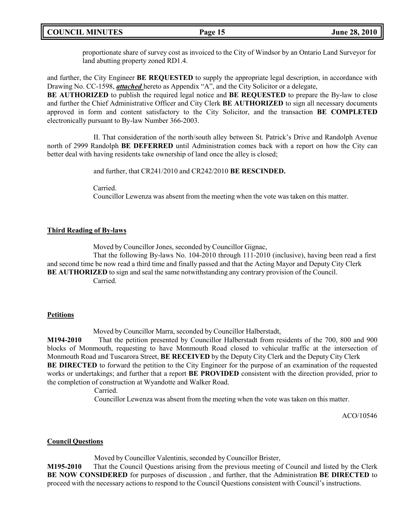proportionate share of survey cost as invoiced to the City of Windsor by an Ontario Land Surveyor for land abutting property zoned RD1.4.

and further, the City Engineer **BE REQUESTED** to supply the appropriate legal description, in accordance with Drawing No. CC-1598, *attached* hereto as Appendix "A", and the City Solicitor or a delegate,

**BE AUTHORIZED** to publish the required legal notice and **BE REQUESTED** to prepare the By-law to close and further the Chief Administrative Officer and City Clerk **BE AUTHORIZED** to sign all necessary documents approved in form and content satisfactory to the City Solicitor, and the transaction **BE COMPLETED** electronically pursuant to By-law Number 366-2003.

II. That consideration of the north/south alley between St. Patrick's Drive and Randolph Avenue north of 2999 Randolph **BE DEFERRED** until Administration comes back with a report on how the City can better deal with having residents take ownership of land once the alley is closed;

and further, that CR241/2010 and CR242/2010 **BE RESCINDED.**

Carried.

Councillor Lewenza was absent from the meeting when the vote was taken on this matter.

### **Third Reading of By-laws**

Moved by Councillor Jones, seconded by Councillor Gignac,

That the following By-laws No. 104-2010 through 111-2010 (inclusive), having been read a first and second time be now read a third time and finally passed and that the Acting Mayor and Deputy City Clerk **BE AUTHORIZED** to sign and seal the same notwithstanding any contrary provision of the Council. Carried.

### **Petitions**

Moved by Councillor Marra, seconded by Councillor Halberstadt,

**M194-2010** That the petition presented by Councillor Halberstadt from residents of the 700, 800 and 900 blocks of Monmouth, requesting to have Monmouth Road closed to vehicular traffic at the intersection of Monmouth Road and Tuscarora Street, **BE RECEIVED** by the Deputy City Clerk and the Deputy City Clerk **BE DIRECTED** to forward the petition to the City Engineer for the purpose of an examination of the requested works or undertakings; and further that a report **BE PROVIDED** consistent with the direction provided, prior to the completion of construction at Wyandotte and Walker Road.

Carried.

Councillor Lewenza was absent from the meeting when the vote was taken on this matter.

ACO/10546

### **Council Questions**

Moved by Councillor Valentinis, seconded by Councillor Brister,

**M195-2010** That the Council Questions arising from the previous meeting of Council and listed by the Clerk **BE NOW CONSIDERED** for purposes of discussion , and further, that the Administration **BE DIRECTED** to proceed with the necessary actions to respond to the Council Questions consistent with Council's instructions.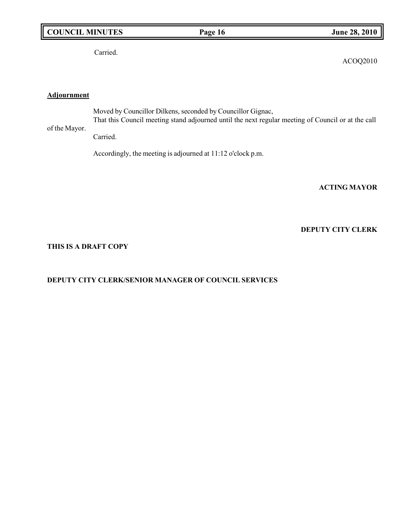# **COUNCIL MINUTES Page 16 June 28, 2010**

Carried.

ACOQ2010

# **Adjournment**

of the Mayor. Moved by Councillor Dilkens, seconded by Councillor Gignac, That this Council meeting stand adjourned until the next regular meeting of Council or at the call

Carried.

Accordingly, the meeting is adjourned at 11:12 o'clock p.m.

**ACTING MAYOR**

## **DEPUTY CITY CLERK**

#### **THIS IS A DRAFT COPY**

## **DEPUTY CITY CLERK/SENIOR MANAGER OF COUNCIL SERVICES**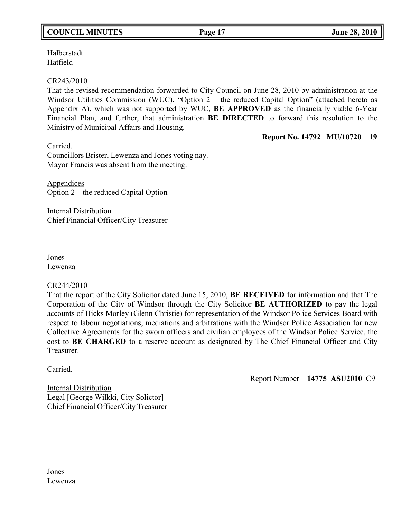# **COUNCIL MINUTES Page 17 June 28, 2010**

Halberstadt Hatfield

## CR243/2010

That the revised recommendation forwarded to City Council on June 28, 2010 by administration at the Windsor Utilities Commission (WUC), "Option 2 – the reduced Capital Option" (attached hereto as Appendix A), which was not supported by WUC, **BE APPROVED** as the financially viable 6-Year Financial Plan, and further, that administration **BE DIRECTED** to forward this resolution to the Ministry of Municipal Affairs and Housing.

## **Report No. 14792 MU/10720 19**

Carried. Councillors Brister, Lewenza and Jones voting nay. Mayor Francis was absent from the meeting.

Appendices Option 2 – the reduced Capital Option

Internal Distribution Chief Financial Officer/City Treasurer

Jones Lewenza

### CR244/2010

That the report of the City Solicitor dated June 15, 2010, **BE RECEIVED** for information and that The Corporation of the City of Windsor through the City Solicitor **BE AUTHORIZED** to pay the legal accounts of Hicks Morley (Glenn Christie) for representation of the Windsor Police Services Board with respect to labour negotiations, mediations and arbitrations with the Windsor Police Association for new Collective Agreements for the sworn officers and civilian employees of the Windsor Police Service, the cost to **BE CHARGED** to a reserve account as designated by The Chief Financial Officer and City Treasurer.

Carried.

Report Number **14775 ASU2010** C9

Internal Distribution Legal [George Wilkki, City Solictor] Chief Financial Officer/City Treasurer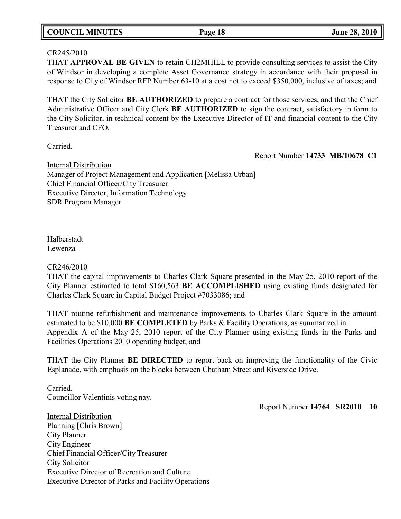| <b>COUNCIL MINUTES</b><br>Page 18 | <b>June 28, 2010</b> |
|-----------------------------------|----------------------|
|-----------------------------------|----------------------|

## CR245/2010

THAT **APPROVAL BE GIVEN** to retain CH2MHILL to provide consulting services to assist the City of Windsor in developing a complete Asset Governance strategy in accordance with their proposal in response to City of Windsor RFP Number 63-10 at a cost not to exceed \$350,000, inclusive of taxes; and

THAT the City Solicitor **BE AUTHORIZED** to prepare a contract for those services, and that the Chief Administrative Officer and City Clerk **BE AUTHORIZED** to sign the contract, satisfactory in form to the City Solicitor, in technical content by the Executive Director of IT and financial content to the City Treasurer and CFO.

Carried.

Report Number **14733 MB/10678 C1**

Internal Distribution Manager of Project Management and Application [Melissa Urban] Chief Financial Officer/City Treasurer Executive Director, Information Technology SDR Program Manager

Halberstadt Lewenza

## CR246/2010

THAT the capital improvements to Charles Clark Square presented in the May 25, 2010 report of the City Planner estimated to total \$160,563 **BE ACCOMPLISHED** using existing funds designated for Charles Clark Square in Capital Budget Project #7033086; and

THAT routine refurbishment and maintenance improvements to Charles Clark Square in the amount estimated to be \$10,000 **BE COMPLETED** by Parks & Facility Operations, as summarized in Appendix A of the May 25, 2010 report of the City Planner using existing funds in the Parks and Facilities Operations 2010 operating budget; and

THAT the City Planner **BE DIRECTED** to report back on improving the functionality of the Civic Esplanade, with emphasis on the blocks between Chatham Street and Riverside Drive.

Carried. Councillor Valentinis voting nay.

Report Number **14764 SR2010 10**

Internal Distribution Planning [Chris Brown] City Planner City Engineer Chief Financial Officer/City Treasurer City Solicitor Executive Director of Recreation and Culture Executive Director of Parks and Facility Operations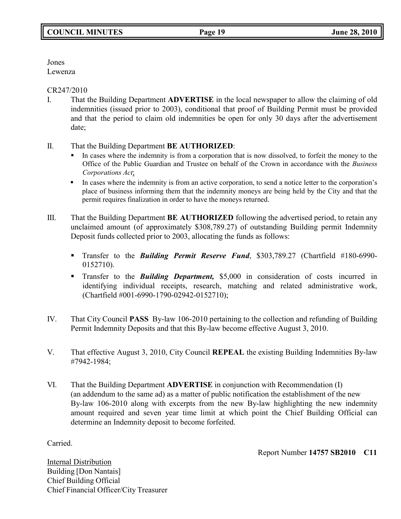Jones

Lewenza

CR247/2010

- I. That the Building Department **ADVERTISE** in the local newspaper to allow the claiming of old indemnities (issued prior to 2003), conditional that proof of Building Permit must be provided and that the period to claim old indemnities be open for only 30 days after the advertisement date;
- II. That the Building Department **BE AUTHORIZED**:
	- In cases where the indemnity is from a corporation that is now dissolved, to forfeit the money to the Office of the Public Guardian and Trustee on behalf of the Crown in accordance with the *Business Corporations Act*;
	- In cases where the indemnity is from an active corporation, to send a notice letter to the corporation's place of business informing them that the indemnity moneys are being held by the City and that the permit requires finalization in order to have the moneys returned.
- III. That the Building Department **BE AUTHORIZED** following the advertised period, to retain any unclaimed amount (of approximately \$308,789.27) of outstanding Building permit Indemnity Deposit funds collected prior to 2003, allocating the funds as follows:
	- Transfer to the *Building Permit Reserve Fund*, \$303,789.27 (Chartfield #180-6990- 0152710).
	- Transfer to the *Building Department,* \$5,000 in consideration of costs incurred in identifying individual receipts, research, matching and related administrative work, (Chartfield #001-6990-1790-02942-0152710);
- IV. That City Council **PASS** By-law 106-2010 pertaining to the collection and refunding of Building Permit Indemnity Deposits and that this By-law become effective August 3, 2010.
- V. That effective August 3, 2010, City Council **REPEAL** the existing Building Indemnities By-law #7942-1984;
- VI. That the Building Department **ADVERTISE** in conjunction with Recommendation (I) (an addendum to the same ad) as a matter of public notification the establishment of the new By-law 106-2010 along with excerpts from the new By-law highlighting the new indemnity amount required and seven year time limit at which point the Chief Building Official can determine an Indemnity deposit to become forfeited.

Carried.

Report Number **14757 SB2010 C11**

Internal Distribution Building [Don Nantais] Chief Building Official Chief Financial Officer/City Treasurer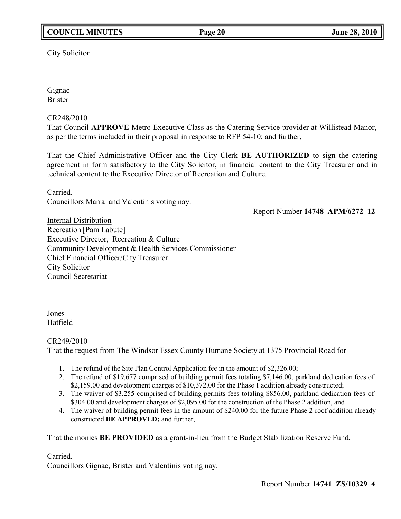City Solicitor

Gignac Brister

# CR248/2010

That Council **APPROVE** Metro Executive Class as the Catering Service provider at Willistead Manor, as per the terms included in their proposal in response to RFP 54-10; and further,

That the Chief Administrative Officer and the City Clerk **BE AUTHORIZED** to sign the catering agreement in form satisfactory to the City Solicitor, in financial content to the City Treasurer and in technical content to the Executive Director of Recreation and Culture.

Carried. Councillors Marra and Valentinis voting nay.

Report Number **14748 APM/6272 12**

Internal Distribution Recreation [Pam Labute] Executive Director, Recreation & Culture Community Development & Health Services Commissioner Chief Financial Officer/City Treasurer City Solicitor Council Secretariat

Jones Hatfield

# CR249/2010

That the request from The Windsor Essex County Humane Society at 1375 Provincial Road for

- 1. The refund of the Site Plan Control Application fee in the amount of \$2,326.00;
- 2. The refund of \$19,677 comprised of building permit fees totaling \$7,146.00, parkland dedication fees of \$2,159.00 and development charges of \$10,372.00 for the Phase 1 addition already constructed;
- 3. The waiver of \$3,255 comprised of building permits fees totaling \$856.00, parkland dedication fees of \$304.00 and development charges of \$2,095.00 for the construction of the Phase 2 addition, and
- 4. The waiver of building permit fees in the amount of \$240.00 for the future Phase 2 roof addition already constructed **BE APPROVED;** and further,

That the monies **BE PROVIDED** as a grant-in-lieu from the Budget Stabilization Reserve Fund.

# Carried.

Councillors Gignac, Brister and Valentinis voting nay.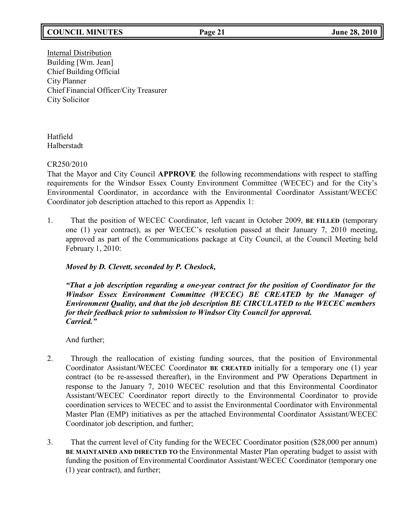# **COUNCIL MINUTES Page 21 June 28, 2010**

Internal Distribution Building [Wm. Jean] Chief Building Official City Planner Chief Financial Officer/City Treasurer City Solicitor

Hatfield Halberstadt

CR250/2010

That the Mayor and City Council **APPROVE** the following recommendations with respect to staffing requirements for the Windsor Essex County Environment Committee (WECEC) and for the City's Environmental Coordinator, in accordance with the Environmental Coordinator Assistant/WECEC Coordinator job description attached to this report as Appendix 1:

1. That the position of WECEC Coordinator, left vacant in October 2009, **BE FILLED** (temporary one (1) year contract), as per WECEC's resolution passed at their January 7, 2010 meeting, approved as part of the Communications package at City Council, at the Council Meeting held February 1, 2010:

# *Moved by D. Clevett, seconded by P. Cheslock,*

*"That a job description regarding a one-year contract for the position of Coordinator for the Windsor Essex Environment Committee (WECEC) BE CREATED by the Manager of Environment Quality, and that the job description BE CIRCULATED to the WECEC members for their feedback prior to submission to Windsor City Council for approval. Carried."*

And further;

- 2. Through the reallocation of existing funding sources, that the position of Environmental Coordinator Assistant/WECEC Coordinator **BE CREATED** initially for a temporary one (1) year contract (to be re-assessed thereafter), in the Environment and PW Operations Department in response to the January 7, 2010 WECEC resolution and that this Environmental Coordinator Assistant/WECEC Coordinator report directly to the Environmental Coordinator to provide coordination services to WECEC and to assist the Environmental Coordinator with Environmental Master Plan (EMP) initiatives as per the attached Environmental Coordinator Assistant/WECEC Coordinator job description, and further;
- 3. That the current level of City funding for the WECEC Coordinator position (\$28,000 per annum) **BE MAINTAINED AND DIRECTED TO** the Environmental Master Plan operating budget to assist with funding the position of Environmental Coordinator Assistant/WECEC Coordinator (temporary one (1) year contract), and further;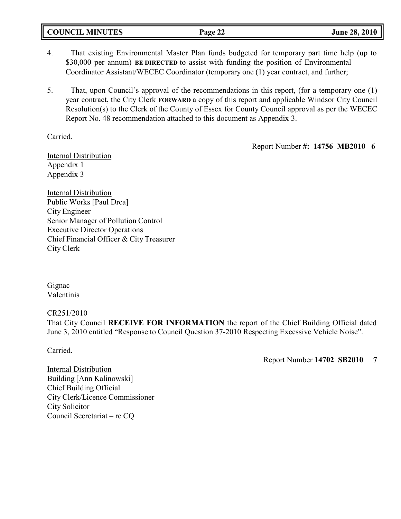| <b>COUNCIL MINUTES</b> | $\sim$ $\sim$<br>Page 22 | June 28, 2010 |
|------------------------|--------------------------|---------------|
|                        |                          |               |

- 4. That existing Environmental Master Plan funds budgeted for temporary part time help (up to \$30,000 per annum) **BE DIRECTED** to assist with funding the position of Environmental Coordinator Assistant/WECEC Coordinator (temporary one (1) year contract, and further;
- 5. That, upon Council's approval of the recommendations in this report, (for a temporary one (1) year contract, the City Clerk **FORWARD** a copy of this report and applicable Windsor City Council Resolution(s) to the Clerk of the County of Essex for County Council approval as per the WECEC Report No. 48 recommendation attached to this document as Appendix 3.

Carried.

Report Number **#: 14756 MB2010 6**

Internal Distribution Appendix 1 Appendix 3

Internal Distribution Public Works [Paul Drca] City Engineer Senior Manager of Pollution Control Executive Director Operations Chief Financial Officer & City Treasurer City Clerk

Gignac Valentinis

CR251/2010

That City Council **RECEIVE FOR INFORMATION** the report of the Chief Building Official dated June 3, 2010 entitled "Response to Council Question 37-2010 Respecting Excessive Vehicle Noise".

Carried.

Report Number **14702 SB2010 7**

Internal Distribution Building [Ann Kalinowski] Chief Building Official City Clerk/Licence Commissioner City Solicitor Council Secretariat – re CQ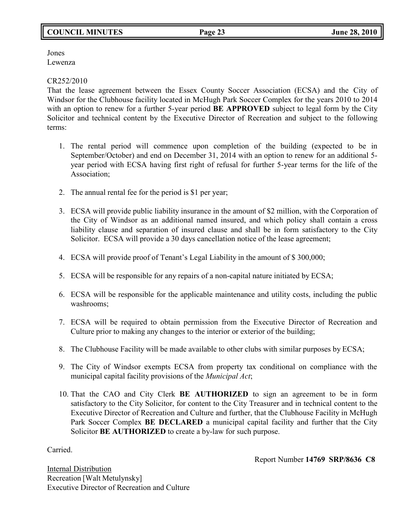# **COUNCIL MINUTES Page 23 June 28, 2010**

Jones Lewenza

## CR252/2010

That the lease agreement between the Essex County Soccer Association (ECSA) and the City of Windsor for the Clubhouse facility located in McHugh Park Soccer Complex for the years 2010 to 2014 with an option to renew for a further 5-year period **BE APPROVED** subject to legal form by the City Solicitor and technical content by the Executive Director of Recreation and subject to the following terms:

- 1. The rental period will commence upon completion of the building (expected to be in September/October) and end on December 31, 2014 with an option to renew for an additional 5 year period with ECSA having first right of refusal for further 5-year terms for the life of the Association;
- 2. The annual rental fee for the period is \$1 per year;
- 3. ECSA will provide public liability insurance in the amount of \$2 million, with the Corporation of the City of Windsor as an additional named insured, and which policy shall contain a cross liability clause and separation of insured clause and shall be in form satisfactory to the City Solicitor. ECSA will provide a 30 days cancellation notice of the lease agreement;
- 4. ECSA will provide proof of Tenant's Legal Liability in the amount of \$ 300,000;
- 5. ECSA will be responsible for any repairs of a non-capital nature initiated by ECSA;
- 6. ECSA will be responsible for the applicable maintenance and utility costs, including the public washrooms;
- 7. ECSA will be required to obtain permission from the Executive Director of Recreation and Culture prior to making any changes to the interior or exterior of the building;
- 8. The Clubhouse Facility will be made available to other clubs with similar purposes by ECSA;
- 9. The City of Windsor exempts ECSA from property tax conditional on compliance with the municipal capital facility provisions of the *Municipal Act*;
- 10. That the CAO and City Clerk **BE AUTHORIZED** to sign an agreement to be in form satisfactory to the City Solicitor, for content to the City Treasurer and in technical content to the Executive Director of Recreation and Culture and further, that the Clubhouse Facility in McHugh Park Soccer Complex **BE DECLARED** a municipal capital facility and further that the City Solicitor **BE AUTHORIZED** to create a by-law for such purpose.

Carried.

Report Number **14769 SRP/8636 C8**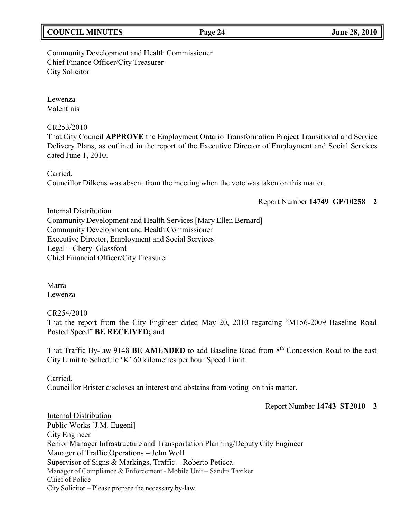|  | <b>COUNCIL MINUTES</b> |
|--|------------------------|
|--|------------------------|

# Community Development and Health Commissioner Chief Finance Officer/City Treasurer City Solicitor

Lewenza Valentinis

# CR253/2010

That City Council **APPROVE** the Employment Ontario Transformation Project Transitional and Service Delivery Plans, as outlined in the report of the Executive Director of Employment and Social Services dated June 1, 2010.

Carried. Councillor Dilkens was absent from the meeting when the vote was taken on this matter.

Report Number **14749 GP/10258 2**

Internal Distribution Community Development and Health Services [Mary Ellen Bernard] Community Development and Health Commissioner Executive Director, Employment and Social Services Legal – Cheryl Glassford Chief Financial Officer/City Treasurer

Marra Lewenza

# CR254/2010

That the report from the City Engineer dated May 20, 2010 regarding "M156-2009 Baseline Road Posted Speed" **BE RECEIVED;** and

That Traffic By-law 9148 BE AMENDED to add Baseline Road from 8<sup>th</sup> Concession Road to the east City Limit to Schedule 'K' 60 kilometres per hour Speed Limit.

Carried.

Councillor Brister discloses an interest and abstains from voting on this matter.

Report Number **14743 ST2010 3**

Internal Distribution Public Works [J.M. Eugeni**]** City Engineer Senior Manager Infrastructure and Transportation Planning/Deputy City Engineer Manager of Traffic Operations – John Wolf Supervisor of Signs & Markings, Traffic – Roberto Peticca Manager of Compliance & Enforcement - Mobile Unit – Sandra Taziker Chief of Police City Solicitor – Please prepare the necessary by-law.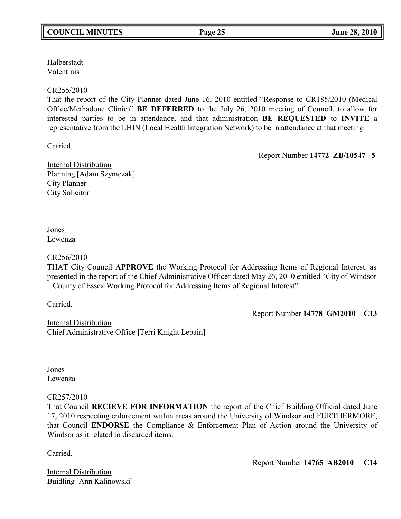Halberstadt Valentinis

## CR255/2010

That the report of the City Planner dated June 16, 2010 entitled "Response to CR185/2010 (Medical Office/Methadone Clinic)" **BE DEFERRED** to the July 26, 2010 meeting of Council, to allow for interested parties to be in attendance, and that administration **BE REQUESTED** to **INVITE** a representative from the LHIN (Local Health Integration Network) to be in attendance at that meeting.

Carried.

Report Number **14772 ZB/10547 5**

Internal Distribution Planning [Adam Szymczak] City Planner City Solicitor

## Jones Lewenza

## CR256/2010

THAT City Council **APPROVE** the Working Protocol for Addressing Items of Regional Interest. as presented in the report of the Chief Administrative Officer dated May 26, 2010 entitled "City of Windsor – County of Essex Working Protocol for Addressing Items of Regional Interest".

Carried.

Report Number **14778 GM2010 C13**

Internal Distribution Chief Administrative Office **[**Terri Knight Lepain]

Jones Lewenza

## CR257/2010

That Council **RECIEVE FOR INFORMATION** the report of the Chief Building Official dated June 17, 2010 respecting enforcement within areas around the University of Windsor and FURTHERMORE, that Council **ENDORSE** the Compliance & Enforcement Plan of Action around the University of Windsor as it related to discarded items.

Carried.

Internal Distribution Buidling [Ann Kalinowski] Report Number **14765 AB2010 C14**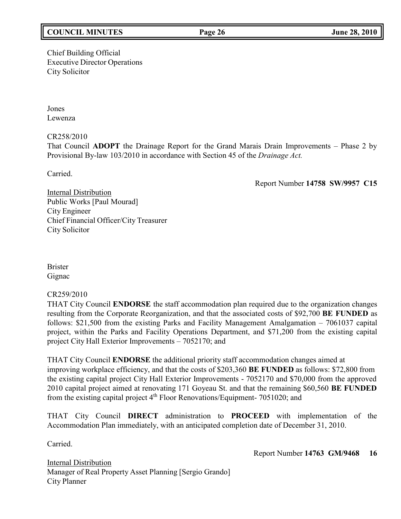# **COUNCIL MINUTES Page 26 June 28, 2010**

Chief Building Official Executive Director Operations City Solicitor

Jones Lewenza

CR258/2010

That Council **ADOPT** the Drainage Report for the Grand Marais Drain Improvements – Phase 2 by Provisional By-law 103/2010 in accordance with Section 45 of the *Drainage Act.*

Carried.

Report Number **14758 SW/9957 C15**

Internal Distribution Public Works [Paul Mourad] City Engineer Chief Financial Officer/City Treasurer City Solicitor

Brister Gignac

## CR259/2010

THAT City Council **ENDORSE** the staff accommodation plan required due to the organization changes resulting from the Corporate Reorganization, and that the associated costs of \$92,700 **BE FUNDED** as follows: \$21,500 from the existing Parks and Facility Management Amalgamation – 7061037 capital project, within the Parks and Facility Operations Department, and \$71,200 from the existing capital project City Hall Exterior Improvements – 7052170; and

THAT City Council **ENDORSE** the additional priority staff accommodation changes aimed at improving workplace efficiency, and that the costs of \$203,360 **BE FUNDED** as follows: \$72,800 from the existing capital project City Hall Exterior Improvements - 7052170 and \$70,000 from the approved 2010 capital project aimed at renovating 171 Goyeau St. and that the remaining \$60,560 **BE FUNDED** from the existing capital project 4<sup>th</sup> Floor Renovations/Equipment- 7051020; and

THAT City Council **DIRECT** administration to **PROCEED** with implementation of the Accommodation Plan immediately, with an anticipated completion date of December 31, 2010.

Carried.

Report Number **14763 GM/9468 16**

Internal Distribution Manager of Real Property Asset Planning [Sergio Grando] City Planner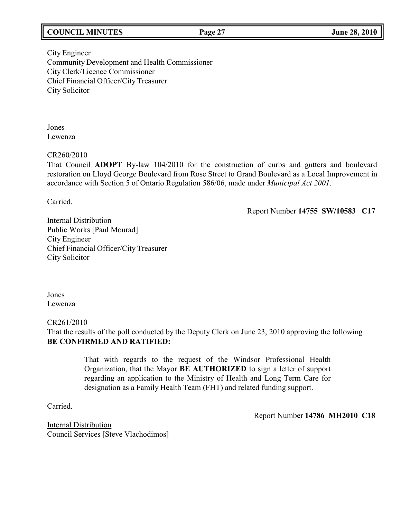# **COUNCIL MINUTES Page 27 June 28, 2010**

City Engineer Community Development and Health Commissioner City Clerk/Licence Commissioner Chief Financial Officer/City Treasurer City Solicitor

Jones Lewenza

CR260/2010

That Council **ADOPT** By-law 104/2010 for the construction of curbs and gutters and boulevard restoration on Lloyd George Boulevard from Rose Street to Grand Boulevard as a Local Improvement in accordance with Section 5 of Ontario Regulation 586/06, made under *Municipal Act 2001*.

Carried.

Report Number **14755 SW/10583 C17**

Internal Distribution Public Works [Paul Mourad] City Engineer Chief Financial Officer/City Treasurer City Solicitor

Jones Lewenza

CR261/2010

That the results of the poll conducted by the Deputy Clerk on June 23, 2010 approving the following **BE CONFIRMED AND RATIFIED:**

> That with regards to the request of the Windsor Professional Health Organization, that the Mayor **BE AUTHORIZED** to sign a letter of support regarding an application to the Ministry of Health and Long Term Care for designation as a Family Health Team (FHT) and related funding support.

Carried.

Report Number **14786 MH2010 C18**

Internal Distribution Council Services [Steve Vlachodimos]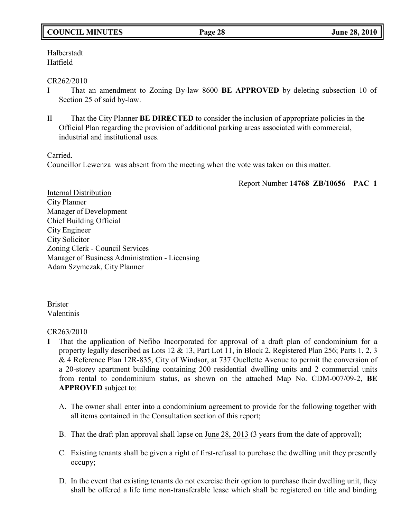# **COUNCIL MINUTES Page 28 June 28, 2010**

Halberstadt Hatfield

### CR262/2010

- I That an amendment to Zoning By-law 8600 **BE APPROVED** by deleting subsection 10 of Section 25 of said by-law.
- II That the City Planner **BE DIRECTED** to consider the inclusion of appropriate policies in the Official Plan regarding the provision of additional parking areas associated with commercial, industrial and institutional uses.

Carried.

Councillor Lewenza was absent from the meeting when the vote was taken on this matter.

Report Number **14768 ZB/10656 PAC 1**

Internal Distribution City Planner Manager of Development Chief Building Official City Engineer City Solicitor Zoning Clerk - Council Services Manager of Business Administration - Licensing Adam Szymczak, City Planner

Brister Valentinis

## CR263/2010

- **I** That the application of Nefibo Incorporated for approval of a draft plan of condominium for a property legally described as Lots 12 & 13, Part Lot 11, in Block 2, Registered Plan 256; Parts 1, 2, 3 & 4 Reference Plan 12R-835, City of Windsor, at 737 Ouellette Avenue to permit the conversion of a 20-storey apartment building containing 200 residential dwelling units and 2 commercial units from rental to condominium status, as shown on the attached Map No. CDM-007/09-2, **BE APPROVED** subject to:
	- A. The owner shall enter into a condominium agreement to provide for the following together with all items contained in the Consultation section of this report;
	- B. That the draft plan approval shall lapse on June 28, 2013 (3 years from the date of approval);
	- C. Existing tenants shall be given a right of first-refusal to purchase the dwelling unit they presently occupy;
	- D. In the event that existing tenants do not exercise their option to purchase their dwelling unit, they shall be offered a life time non-transferable lease which shall be registered on title and binding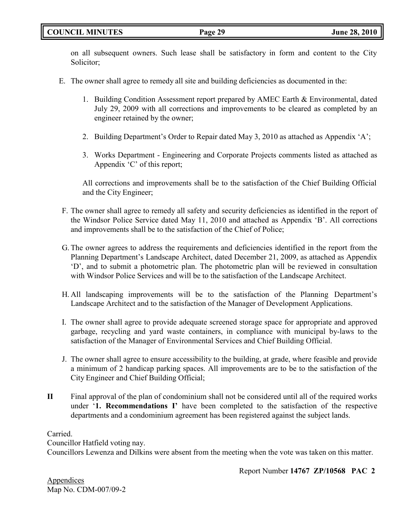# **COUNCIL MINUTES Page 29 June 28, 2010**

on all subsequent owners. Such lease shall be satisfactory in form and content to the City Solicitor;

- E. The owner shall agree to remedy all site and building deficiencies as documented in the:
	- 1. Building Condition Assessment report prepared by AMEC Earth & Environmental, dated July 29, 2009 with all corrections and improvements to be cleared as completed by an engineer retained by the owner;
	- 2. Building Department's Order to Repair dated May 3, 2010 as attached as Appendix 'A';
	- 3. Works Department Engineering and Corporate Projects comments listed as attached as Appendix 'C' of this report;

All corrections and improvements shall be to the satisfaction of the Chief Building Official and the City Engineer;

- F. The owner shall agree to remedy all safety and security deficiencies as identified in the report of the Windsor Police Service dated May 11, 2010 and attached as Appendix 'B'. All corrections and improvements shall be to the satisfaction of the Chief of Police;
- G. The owner agrees to address the requirements and deficiencies identified in the report from the Planning Department's Landscape Architect, dated December 21, 2009, as attached as Appendix 'D', and to submit a photometric plan. The photometric plan will be reviewed in consultation with Windsor Police Services and will be to the satisfaction of the Landscape Architect.
- H. All landscaping improvements will be to the satisfaction of the Planning Department's Landscape Architect and to the satisfaction of the Manager of Development Applications.
- I. The owner shall agree to provide adequate screened storage space for appropriate and approved garbage, recycling and yard waste containers, in compliance with municipal by-laws to the satisfaction of the Manager of Environmental Services and Chief Building Official.
- J. The owner shall agree to ensure accessibility to the building, at grade, where feasible and provide a minimum of 2 handicap parking spaces. All improvements are to be to the satisfaction of the City Engineer and Chief Building Official;
- **II** Final approval of the plan of condominium shall not be considered until all of the required works under '**1. Recommendations I'** have been completed to the satisfaction of the respective departments and a condominium agreement has been registered against the subject lands.

Carried.

Councillor Hatfield voting nay.

Councillors Lewenza and Dilkins were absent from the meeting when the vote was taken on this matter.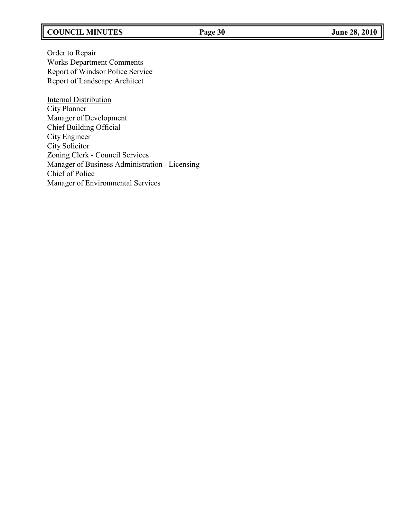# **COUNCIL MINUTES Page 30 June 28, 2010**

Order to Repair Works Department Comments Report of Windsor Police Service Report of Landscape Architect

**Internal Distribution** City Planner Manager of Development Chief Building Official City Engineer City Solicitor Zoning Clerk - Council Services Manager of Business Administration - Licensing Chief of Police Manager of Environmental Services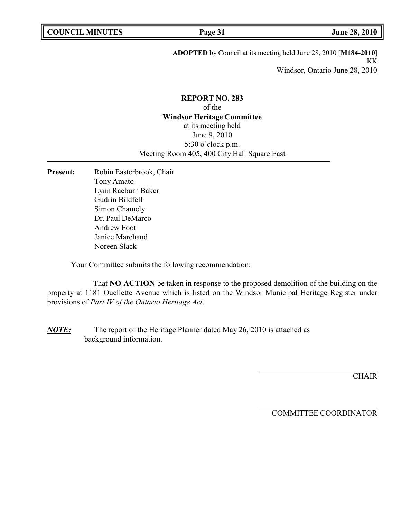**ADOPTED** by Council at its meeting held June 28, 2010 [**M184-2010**] KK Windsor, Ontario June 28, 2010

# **REPORT NO. 283** of the **Windsor Heritage Committee** at its meeting held June 9, 2010 5:30 o'clock p.m. Meeting Room 405, 400 City Hall Square East

Present: Robin Easterbrook, Chair Tony Amato Lynn Raeburn Baker Gudrin Bildfell Simon Chamely Dr. Paul DeMarco Andrew Foot Janice Marchand Noreen Slack

Your Committee submits the following recommendation:

That **NO ACTION** be taken in response to the proposed demolition of the building on the property at 1181 Ouellette Avenue which is listed on the Windsor Municipal Heritage Register under provisions of *Part IV of the Ontario Heritage Act*.

*NOTE:* The report of the Heritage Planner dated May 26, 2010 is attached as background information.

**CHAIR**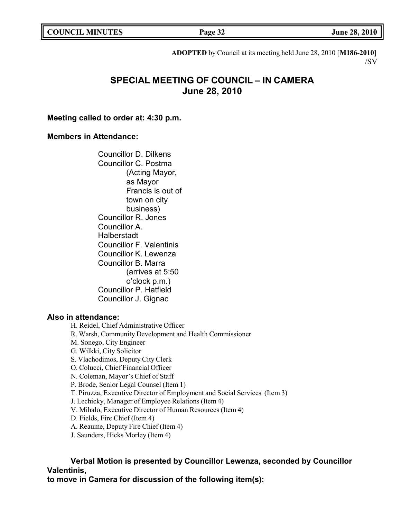| <b>COUNCIL MINUTES</b> |  |
|------------------------|--|
|------------------------|--|

**COUNCIL EXECUTE:** FOR **LIGATION COUNCIL COUNCIL COUNCIL COUNCIL COUNCIL COUNCIL COUNCIL COUNCIL COUNCIL COUNCIL** 

**ADOPTED** by Council at its meeting held June 28, 2010 [**M186-2010**] /SV

# **SPECIAL MEETING OF COUNCIL – IN CAMERA June 28, 2010**

### **Meeting called to order at: 4:30 p.m.**

### **Members in Attendance:**

Councillor D. Dilkens Councillor C. Postma (Acting Mayor, as Mayor Francis is out of town on city business) Councillor R. Jones Councillor A. Halberstadt Councillor F. Valentinis Councillor K. Lewenza Councillor B. Marra (arrives at 5:50 o'clock p.m.) Councillor P. Hatfield Councillor J. Gignac

# **Also in attendance:**

H. Reidel, Chief Administrative Officer R. Warsh, Community Development and Health Commissioner M. Sonego, City Engineer G. Wilkki, City Solicitor S. Vlachodimos, Deputy City Clerk O. Colucci, Chief Financial Officer N. Coleman, Mayor's Chief of Staff P. Brode, Senior Legal Counsel (Item 1) T. Piruzza, Executive Director of Employment and Social Services (Item 3) J. Lechicky, Manager of Employee Relations (Item 4) V. Mihalo, Executive Director of Human Resources (Item 4) D. Fields, Fire Chief (Item 4) A. Reaume, Deputy Fire Chief (Item 4) J. Saunders, Hicks Morley (Item 4)

**Verbal Motion is presented by Councillor Lewenza, seconded by Councillor Valentinis,**

**to move in Camera for discussion of the following item(s):**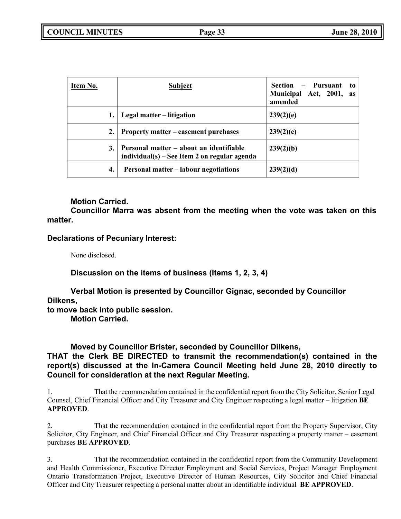| Item No. | <b>Subject</b>                                                                          | Section – Pursuant<br>to to<br>Municipal Act, 2001,<br><b>as</b><br>amended |
|----------|-----------------------------------------------------------------------------------------|-----------------------------------------------------------------------------|
|          | Legal matter – litigation                                                               | 239(2)(e)                                                                   |
| 2.       | Property matter – easement purchases                                                    | 239(2)(c)                                                                   |
| 3.       | Personal matter – about an identifiable<br>individual(s) – See Item 2 on regular agenda | 239(2)(b)                                                                   |
| 4.       | <b>Personal matter – labour negotiations</b>                                            | 239(2)(d)                                                                   |

# **Motion Carried.**

**Councillor Marra was absent from the meeting when the vote was taken on this matter.**

## **Declarations of Pecuniary Interest:**

None disclosed.

**Discussion on the items of business (Items 1, 2, 3, 4)**

**Verbal Motion is presented by Councillor Gignac, seconded by Councillor Dilkens,**

**to move back into public session.**

**Motion Carried.**

## **Moved by Councillor Brister, seconded by Councillor Dilkens,**

# **THAT the Clerk BE DIRECTED to transmit the recommendation(s) contained in the report(s) discussed at the In-Camera Council Meeting held June 28, 2010 directly to Council for consideration at the next Regular Meeting.**

1. That the recommendation contained in the confidential report from the City Solicitor, Senior Legal Counsel, Chief Financial Officer and City Treasurer and City Engineer respecting a legal matter – litigation **BE APPROVED**.

2. That the recommendation contained in the confidential report from the Property Supervisor, City Solicitor, City Engineer, and Chief Financial Officer and City Treasurer respecting a property matter – easement purchases **BE APPROVED**.

3. That the recommendation contained in the confidential report from the Community Development and Health Commissioner, Executive Director Employment and Social Services, Project Manager Employment Ontario Transformation Project, Executive Director of Human Resources, City Solicitor and Chief Financial Officer and City Treasurer respecting a personal matter about an identifiable individual **BE APPROVED**.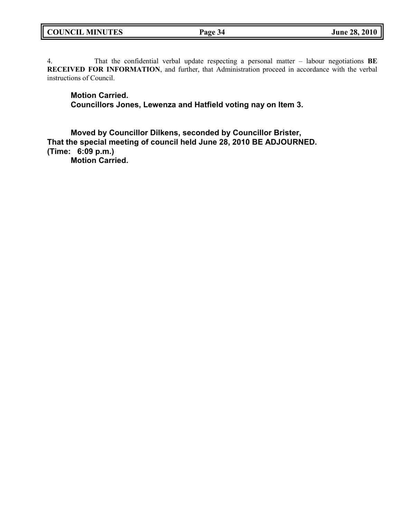| <b>COUNCIL MINUTES</b> | Page 34 | <b>June 28, 2010</b> |
|------------------------|---------|----------------------|
|------------------------|---------|----------------------|

4. That the confidential verbal update respecting a personal matter – labour negotiations **BE RECEIVED FOR INFORMATION**, and further, that Administration proceed in accordance with the verbal instructions of Council.

**Motion Carried. Councillors Jones, Lewenza and Hatfield voting nay on Item 3.**

**Moved by Councillor Dilkens, seconded by Councillor Brister, That the special meeting of council held June 28, 2010 BE ADJOURNED. (Time: 6:09 p.m.)**

**Motion Carried.**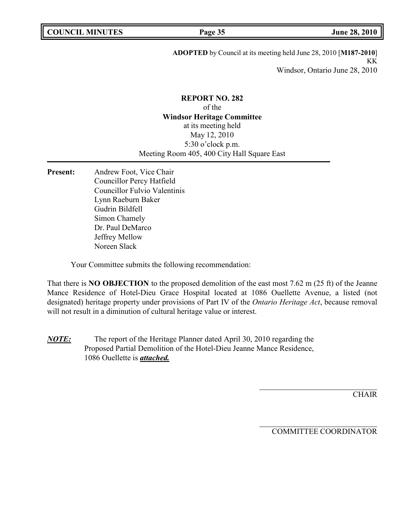**ADOPTED** by Council at its meeting held June 28, 2010 [**M187-2010**] KK Windsor, Ontario June 28, 2010

# **REPORT NO. 282** of the **Windsor Heritage Committee** at its meeting held May 12, 2010 5:30 o'clock p.m. Meeting Room 405, 400 City Hall Square East

**Present:** Andrew Foot, Vice Chair Councillor Percy Hatfield Councillor Fulvio Valentinis Lynn Raeburn Baker Gudrin Bildfell Simon Chamely Dr. Paul DeMarco Jeffrey Mellow Noreen Slack

Your Committee submits the following recommendation:

That there is **NO OBJECTION** to the proposed demolition of the east most 7.62 m (25 ft) of the Jeanne Mance Residence of Hotel-Dieu Grace Hospital located at 1086 Ouellette Avenue, a listed (not designated) heritage property under provisions of Part IV of the *Ontario Heritage Act*, because removal will not result in a diminution of cultural heritage value or interest.

*NOTE:* The report of the Heritage Planner dated April 30, 2010 regarding the Proposed Partial Demolition of the Hotel-Dieu Jeanne Mance Residence, 1086 Ouellette is *attached.*

**CHAIR**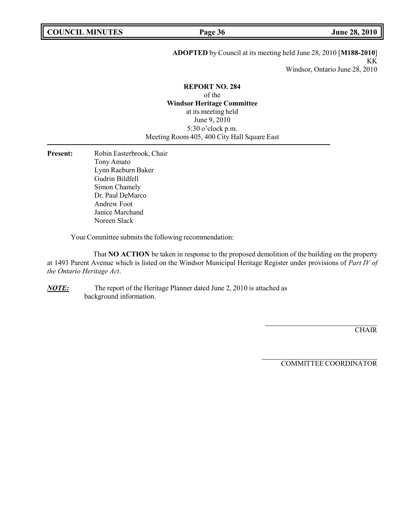### **ADOPTED** by Council at its meeting held June 28, 2010 [**M188-2010**] KK Windsor, Ontario June 28, 2010

#### **REPORT NO. 284**

of the **Windsor Heritage Committee** at its meeting held June 9, 2010 5:30 o'clock p.m. Meeting Room 405, 400 City Hall Square East

Present: Robin Easterbrook, Chair Tony Amato Lynn Raeburn Baker Gudrin Bildfell Simon Chamely Dr. Paul DeMarco Andrew Foot Janice Marchand Noreen Slack

Your Committee submits the following recommendation:

That **NO ACTION** be taken in response to the proposed demolition of the building on the property at 1493 Parent Avenue which is listed on the Windsor Municipal Heritage Register under provisions of *Part IV of the Ontario Heritage Act*.

*NOTE:* The report of the Heritage Planner dated June 2, 2010 is attached as background information.

**CHAIR**